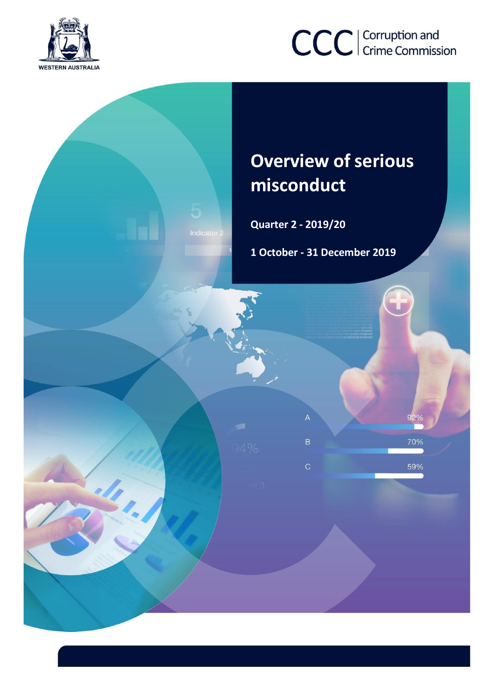

# CCC | Corruption and

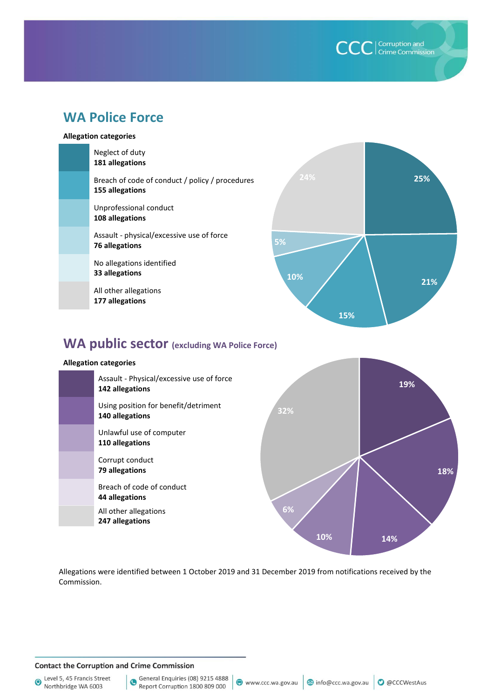Corruption and<br>Crime Commission

# **WA Police Force**

#### **Allegation categories**



# **WA public sector (excluding WA Police Force)**

### **Allegation categories**



Allegations were identified between 1 October 2019 and 31 December 2019 from notifications received by the Commission.

#### **Contact the Corruption and Crime Commission**

Level 5, 45 Francis Street  $\odot$ Northbridge WA 6003

General Enquiries (08) 9215 4888  $\bullet$ Report Corruption 1800 809 000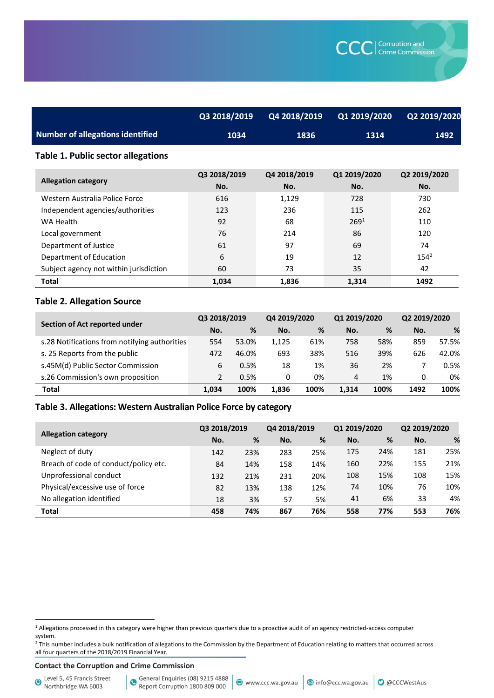|                                         | Q3 2018/2019 |      | Q4 2018/2019 Q1 2019/2020 Q2 2019/2020 |      |
|-----------------------------------------|--------------|------|----------------------------------------|------|
| <b>Number of allegations identified</b> | 1034         | 1836 | 1314                                   | 1492 |

#### **Table 1. Public sector allegations**

| <b>Allegation category</b>             | Q3 2018/2019<br>No. | Q4 2018/2019<br>No. | Q1 2019/2020<br>No. | Q2 2019/2020<br>No. |
|----------------------------------------|---------------------|---------------------|---------------------|---------------------|
| Western Australia Police Force         | 616                 | 1,129               | 728                 | 730                 |
| Independent agencies/authorities       | 123                 | 236                 | 115                 | 262                 |
| WA Health                              | 92                  | 68                  | 269 <sup>1</sup>    | 110                 |
| Local government                       | 76                  | 214                 | 86                  | 120                 |
| Department of Justice                  | 61                  | 97                  | 69                  | 74                  |
| Department of Education                | 6                   | 19                  | 12                  | $154^2$             |
| Subject agency not within jurisdiction | 60                  | 73                  | 35                  | 42                  |
| <b>Total</b>                           | 1.034               | 1,836               | 1.314               | 1492                |

#### **Table 2. Allegation Source**

| Section of Act reported under                 | Q3 2018/2019   |       | Q4 2019/2020 |      | Q1 2019/2020 |      | Q2 2019/2020 |       |
|-----------------------------------------------|----------------|-------|--------------|------|--------------|------|--------------|-------|
|                                               | No.            | %     | No.          | %    | No.          | %    | No.          | %     |
| s.28 Notifications from notifying authorities | 554            | 53.0% | 1.125        | 61%  | 758          | 58%  | 859          | 57.5% |
| s. 25 Reports from the public                 | 472            | 46.0% | 693          | 38%  | 516          | 39%  | 626          | 42.0% |
| s.45M(d) Public Sector Commission             | 6              | 0.5%  | 18           | 1%   | 36           | 2%   |              | 0.5%  |
| s.26 Commission's own proposition             | $\overline{2}$ | 0.5%  | 0            | 0%   | 4            | 1%   | 0            | 0%    |
| <b>Total</b>                                  | 1.034          | 100%  | 1.836        | 100% | 1.314        | 100% | 1492         | 100%  |

#### **Table 3. Allegations: Western Australian Police Force by category**

| <b>Allegation category</b>            | Q3 2018/2019 |     | Q4 2018/2019 |     | Q1 2019/2020 |     | Q2 2019/2020 |     |
|---------------------------------------|--------------|-----|--------------|-----|--------------|-----|--------------|-----|
|                                       | No.          | %   | No.          | %   | No.          | %   | No.          | %   |
| Neglect of duty                       | 142          | 23% | 283          | 25% | 175          | 24% | 181          | 25% |
| Breach of code of conduct/policy etc. | 84           | 14% | 158          | 14% | 160          | 22% | 155          | 21% |
| Unprofessional conduct                | 132          | 21% | 231          | 20% | 108          | 15% | 108          | 15% |
| Physical/excessive use of force       | 82           | 13% | 138          | 12% | 74           | 10% | 76           | 10% |
| No allegation identified              | 18           | 3%  | 57           | 5%  | 41           | 6%  | 33           | 4%  |
| <b>Total</b>                          | 458          | 74% | 867          | 76% | 558          | 77% | 553          | 76% |

#### **Contact the Corruption and Crime Commission**

Level 5, 45 Francis Street Northbridge WA 6003

1

<sup>1</sup> Allegations processed in this category were higher than previous quarters due to a proactive audit of an agency restricted-access computer system.

<sup>&</sup>lt;sup>2</sup> This number includes a bulk notification of allegations to the Commission by the Department of Education relating to matters that occurred across all four quarters of the 2018/2019 Financial Year.

General Enquiries (08) 9215 4888 Report Corruption 1800 809 000